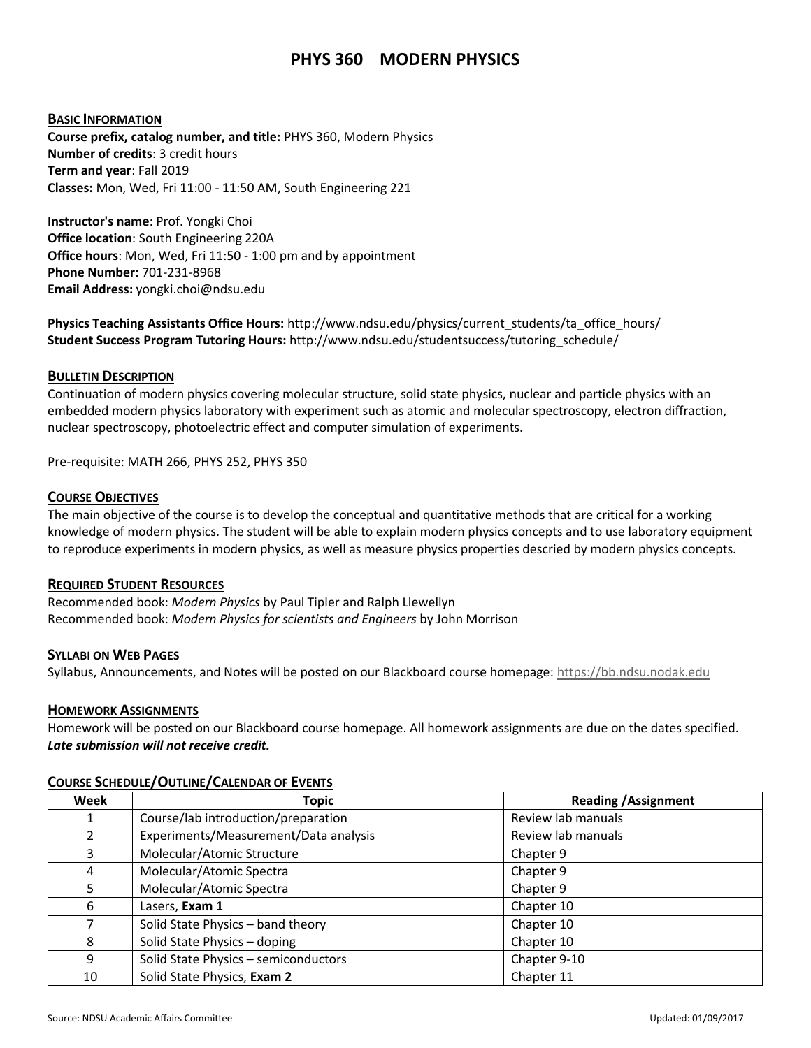# **PHYS 360 MODERN PHYSICS**

## **BASIC INFORMATION**

**Course prefix, catalog number, and title:** PHYS 360, Modern Physics **Number of credits**: 3 credit hours **Term and year**: Fall 2019 **Classes:** Mon, Wed, Fri 11:00 - 11:50 AM, South Engineering 221

**Instructor's name**: Prof. Yongki Choi **Office location**: South Engineering 220A **Office hours**: Mon, Wed, Fri 11:50 - 1:00 pm and by appointment **Phone Number:** 701-231-8968 **Email Address:** yongki.choi@ndsu.edu

**Physics Teaching Assistants Office Hours:** http://www.ndsu.edu/physics/current\_students/ta\_office\_hours/ **Student Success Program Tutoring Hours:** http://www.ndsu.edu/studentsuccess/tutoring\_schedule/

## **BULLETIN DESCRIPTION**

Continuation of modern physics covering molecular structure, solid state physics, nuclear and particle physics with an embedded modern physics laboratory with experiment such as atomic and molecular spectroscopy, electron diffraction, nuclear spectroscopy, photoelectric effect and computer simulation of experiments.

Pre-requisite: MATH 266, PHYS 252, PHYS 350

## **COURSE OBJECTIVES**

The main objective of the course is to develop the conceptual and quantitative methods that are critical for a working knowledge of modern physics. The student will be able to explain modern physics concepts and to use laboratory equipment to reproduce experiments in modern physics, as well as measure physics properties descried by modern physics concepts.

## **REQUIRED STUDENT RESOURCES**

Recommended book: *Modern Physics* by Paul Tipler and Ralph Llewellyn Recommended book: *Modern Physics for scientists and Engineers* by John Morrison

## **SYLLABI ON WEB PAGES**

Syllabus, Announcements, and Notes will be posted on our Blackboard course homepage[: https://bb.ndsu.nodak.edu](https://bb.ndsu.nodak.edu/)

## **HOMEWORK ASSIGNMENTS**

Homework will be posted on our Blackboard course homepage. All homework assignments are due on the dates specified. *Late submission will not receive credit.*

| Week          | <b>Topic</b>                          | <b>Reading / Assignment</b> |
|---------------|---------------------------------------|-----------------------------|
|               | Course/lab introduction/preparation   | Review lab manuals          |
| $\mathfrak z$ | Experiments/Measurement/Data analysis | Review lab manuals          |
| 3             | Molecular/Atomic Structure            | Chapter 9                   |
| 4             | Molecular/Atomic Spectra              | Chapter 9                   |
| 5             | Molecular/Atomic Spectra              | Chapter 9                   |
| 6             | Lasers, Exam 1                        | Chapter 10                  |
|               | Solid State Physics - band theory     | Chapter 10                  |
| 8             | Solid State Physics - doping          | Chapter 10                  |
| 9             | Solid State Physics - semiconductors  | Chapter 9-10                |
| 10            | Solid State Physics, Exam 2           | Chapter 11                  |

## **COURSE SCHEDULE/OUTLINE/CALENDAR OF EVENTS**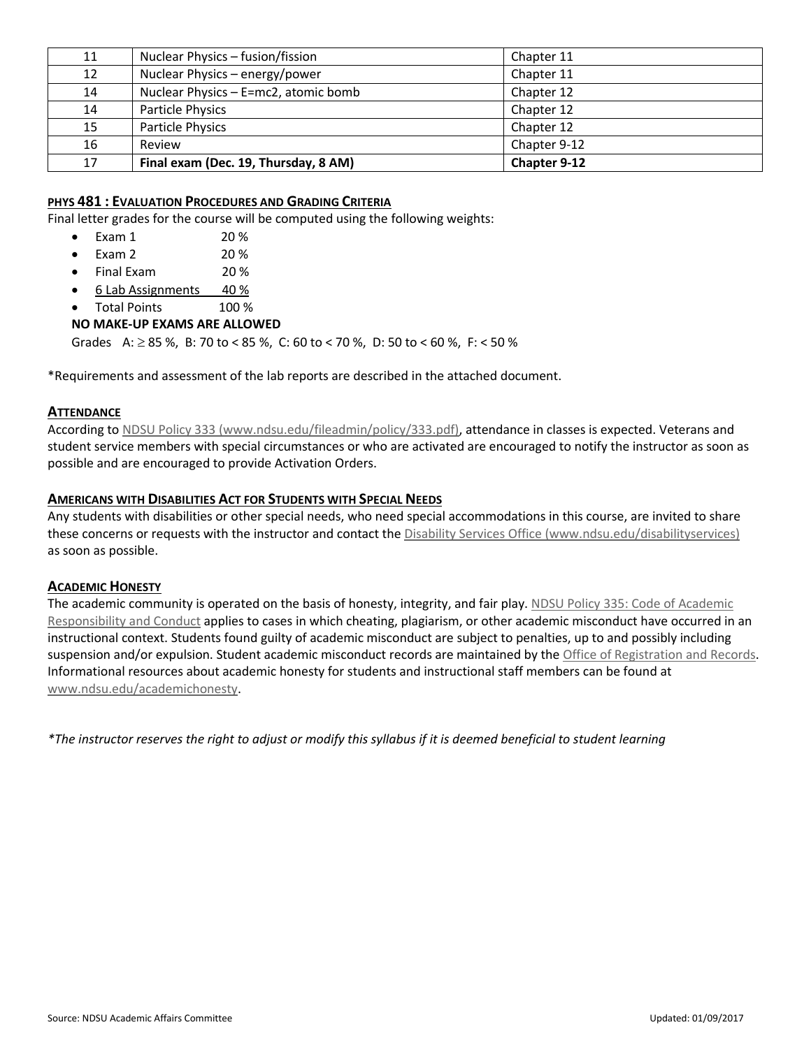| 11 | Nuclear Physics - fusion/fission     | Chapter 11   |  |
|----|--------------------------------------|--------------|--|
| 12 | Nuclear Physics - energy/power       | Chapter 11   |  |
| 14 | Nuclear Physics - E=mc2, atomic bomb | Chapter 12   |  |
| 14 | Particle Physics                     | Chapter 12   |  |
| 15 | Particle Physics                     | Chapter 12   |  |
| 16 | Review                               | Chapter 9-12 |  |
| 17 | Final exam (Dec. 19, Thursday, 8 AM) | Chapter 9-12 |  |

# **PHYS 481 : EVALUATION PROCEDURES AND GRADING CRITERIA**

Final letter grades for the course will be computed using the following weights:

- Exam 1 20 %
- Exam 2 20 %
- Final Exam 20 %
- 6 Lab Assignments 40 %
- Total Points 100 %

# **NO MAKE-UP EXAMS ARE ALLOWED**

Grades A:  $\geq$  85 %, B: 70 to < 85 %, C: 60 to < 70 %, D: 50 to < 60 %, F: < 50 %

\*Requirements and assessment of the lab reports are described in the attached document.

## **ATTENDANCE**

According t[o NDSU Policy 333 \(www.ndsu.edu/fileadmin/policy/333.pdf\),](http://www.ndsu.edu/fileadmin/policy/333.pdf) attendance in classes is expected. Veterans and student service members with special circumstances or who are activated are encouraged to notify the instructor as soon as possible and are encouraged to provide Activation Orders.

# **AMERICANS WITH DISABILITIES ACT FOR STUDENTS WITH SPECIAL NEEDS**

Any students with disabilities or other special needs, who need special accommodations in this course, are invited to share these concerns or requests with the instructor and contact the [Disability Services Office \(www.ndsu.edu/disabilityservices\)](http://www.ndsu.edu/disabilityservices/) as soon as possible.

## **ACADEMIC HONESTY**

The academic community is operated on the basis of honesty, integrity, and fair play. NDSU Policy 335: Code of Academic [Responsibility and Conduct](http://www.ndsu.edu/fileadmin/policy/335.pdf) applies to cases in which cheating, plagiarism, or other academic misconduct have occurred in an instructional context. Students found guilty of academic misconduct are subject to penalties, up to and possibly including suspension and/or expulsion. Student academic misconduct records are maintained by the [Office of Registration and Records.](http://www.ndsu.edu/registrar/) Informational resources about academic honesty for students and instructional staff members can be found at [www.ndsu.edu/academichonesty.](http://www.ndsu.edu/academichonesty)

*\*The instructor reserves the right to adjust or modify this syllabus if it is deemed beneficial to student learning*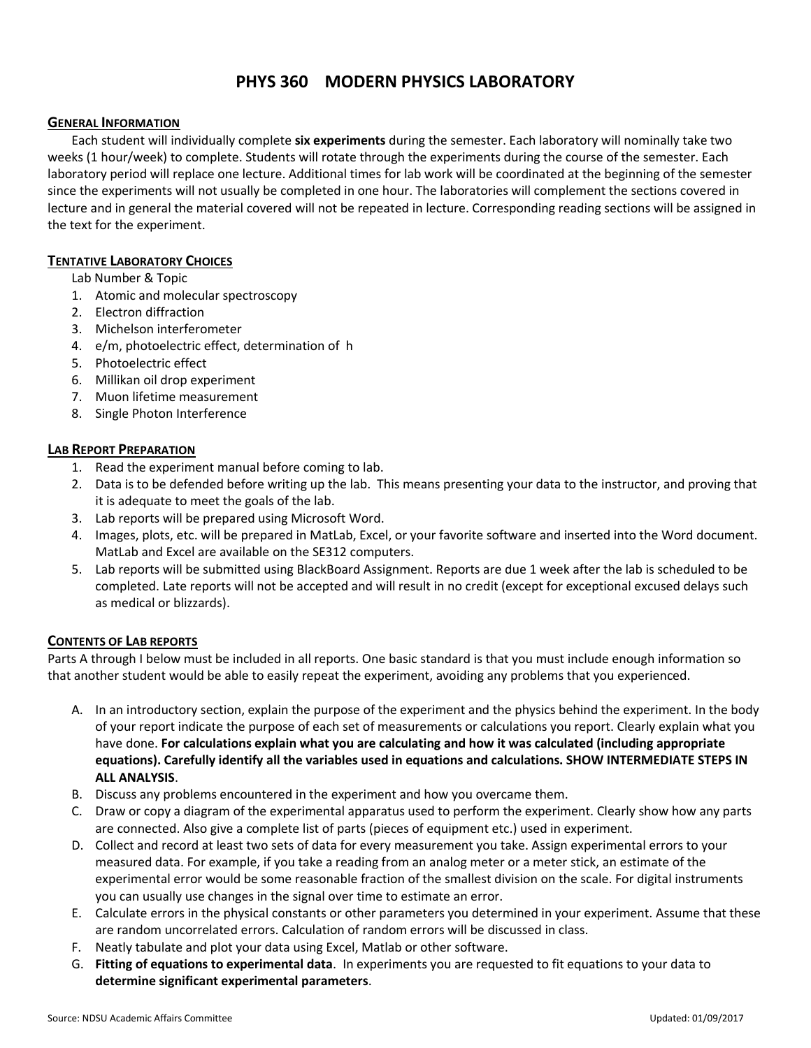# **PHYS 360 MODERN PHYSICS LABORATORY**

## **GENERAL INFORMATION**

Each student will individually complete **six experiments** during the semester. Each laboratory will nominally take two weeks (1 hour/week) to complete. Students will rotate through the experiments during the course of the semester. Each laboratory period will replace one lecture. Additional times for lab work will be coordinated at the beginning of the semester since the experiments will not usually be completed in one hour. The laboratories will complement the sections covered in lecture and in general the material covered will not be repeated in lecture. Corresponding reading sections will be assigned in the text for the experiment.

# **TENTATIVE LABORATORY CHOICES**

- Lab Number & Topic
- 1. Atomic and molecular spectroscopy
- 2. Electron diffraction
- 3. Michelson interferometer
- 4. e/m, photoelectric effect, determination of h
- 5. Photoelectric effect
- 6. Millikan oil drop experiment
- 7. Muon lifetime measurement
- 8. Single Photon Interference

## **LAB REPORT PREPARATION**

- 1. Read the experiment manual before coming to lab.
- 2. Data is to be defended before writing up the lab. This means presenting your data to the instructor, and proving that it is adequate to meet the goals of the lab.
- 3. Lab reports will be prepared using Microsoft Word.
- 4. Images, plots, etc. will be prepared in MatLab, Excel, or your favorite software and inserted into the Word document. MatLab and Excel are available on the SE312 computers.
- 5. Lab reports will be submitted using BlackBoard Assignment. Reports are due 1 week after the lab is scheduled to be completed. Late reports will not be accepted and will result in no credit (except for exceptional excused delays such as medical or blizzards).

## **CONTENTS OF LAB REPORTS**

Parts A through I below must be included in all reports. One basic standard is that you must include enough information so that another student would be able to easily repeat the experiment, avoiding any problems that you experienced.

- A. In an introductory section, explain the purpose of the experiment and the physics behind the experiment. In the body of your report indicate the purpose of each set of measurements or calculations you report. Clearly explain what you have done. **For calculations explain what you are calculating and how it was calculated (including appropriate equations). Carefully identify all the variables used in equations and calculations. SHOW INTERMEDIATE STEPS IN ALL ANALYSIS**.
- B. Discuss any problems encountered in the experiment and how you overcame them.
- C. Draw or copy a diagram of the experimental apparatus used to perform the experiment. Clearly show how any parts are connected. Also give a complete list of parts (pieces of equipment etc.) used in experiment.
- D. Collect and record at least two sets of data for every measurement you take. Assign experimental errors to your measured data. For example, if you take a reading from an analog meter or a meter stick, an estimate of the experimental error would be some reasonable fraction of the smallest division on the scale. For digital instruments you can usually use changes in the signal over time to estimate an error.
- E. Calculate errors in the physical constants or other parameters you determined in your experiment. Assume that these are random uncorrelated errors. Calculation of random errors will be discussed in class.
- F. Neatly tabulate and plot your data using Excel, Matlab or other software.
- G. **Fitting of equations to experimental data**. In experiments you are requested to fit equations to your data to **determine significant experimental parameters**.